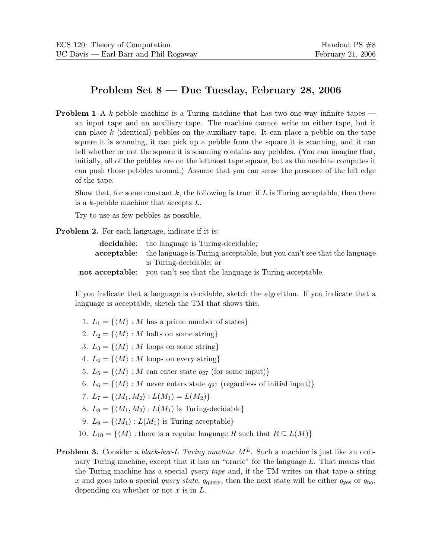## Problem Set 8 — Due Tuesday, February 28, 2006

**Problem 1** A k-pebble machine is a Turing machine that has two one-way infinite tapes  $$ an input tape and an auxiliary tape. The machine cannot write on either tape, but it can place  $k$  (identical) pebbles on the auxiliary tape. It can place a pebble on the tape square it is scanning, it can pick up a pebble from the square it is scanning, and it can tell whether or not the square it is scanning contains any pebbles. (You can imagine that, initially, all of the pebbles are on the leftmost tape square, but as the machine computes it can push those pebbles around.) Assume that you can sense the presence of the left edge of the tape.

Show that, for some constant k, the following is true: if L is Turing acceptable, then there is a k-pebble machine that accepts L.

Try to use as few pebbles as possible.

**Problem 2.** For each language, indicate if it is:

| <b>decidable:</b> the language is Turing-decidable;                                       |
|-------------------------------------------------------------------------------------------|
| <b>acceptable:</b> the language is Turing-acceptable, but you can't see that the language |
| is Turing-decidable; or                                                                   |
| <b>not acceptable:</b> you can't see that the language is Turing-acceptable.              |

If you indicate that a language is decidable, sketch the algorithm. If you indicate that a language is acceptable, sketch the TM that shows this.

- 1.  $L_1 = \{ \langle M \rangle : M$  has a prime number of states}
- 2.  $L_2 = \{ \langle M \rangle : M \text{ halts on some string} \}$
- 3.  $L_3 = \{ \langle M \rangle : M \text{ loops on some string} \}$
- 4.  $L_4 = \{ \langle M \rangle : M$  loops on every string}
- 5.  $L_5 = \{ \langle M \rangle : M$  can enter state  $q_{27}$  (for some input)}
- 6.  $L_6 = \{ \langle M \rangle : M$  never enters state  $q_{27}$  (regardless of initial input)}
- 7.  $L_7 = \{ \langle M_1, M_2 \rangle : L(M_1) = L(M_2) \}$
- 8.  $L_8 = \{ \langle M_1, M_2 \rangle : L(M_1)$  is Turing-decidable
- 9.  $L_9 = \{ \langle M_1 \rangle : L(M_1)$  is Turing-acceptable}
- 10.  $L_{10} = \{ \langle M \rangle : \text{there is a regular language } R \text{ such that } R \subseteq L(M) \}$
- **Problem 3.** Consider a *black-box-L Turing machine*  $M<sup>L</sup>$ . Such a machine is just like an ordinary Turing machine, except that it has an "oracle" for the language L. That means that the Turing machine has a special *query tape* and, if the TM writes on that tape a string x and goes into a special query state,  $q_{\text{query}}$ , then the next state will be either  $q_{\text{ves}}$  or  $q_{\text{no}}$ , depending on whether or not  $x$  is in  $L$ .